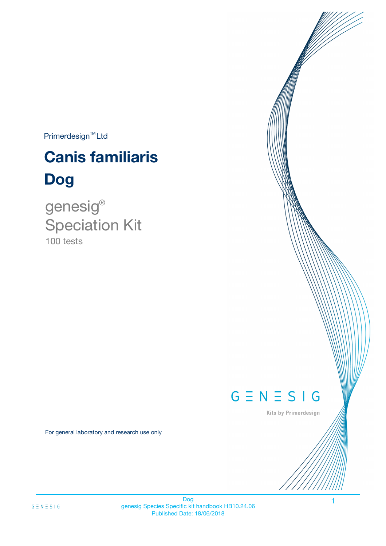$Primerdesign^{TM}$ Ltd

# **Canis familiaris Dog**

100 tests genesig ® Speciation Kit

# $G \equiv N \equiv S \mid G$

Kits by Primerdesign

1

For general laboratory and research use only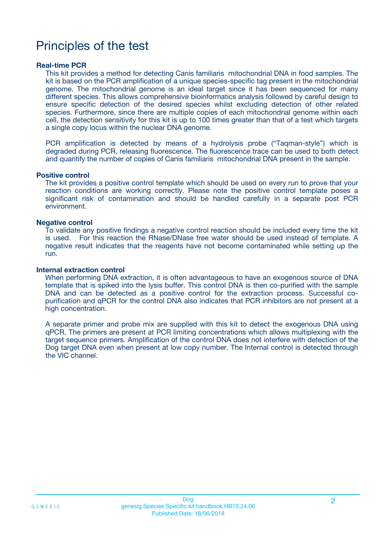# Principles of the test

### **Real-time PCR**

This kit provides a method for detecting Canis familiaris mitochondrial DNA in food samples. The kit is based on the PCR amplification of a unique species-specific tag present in the mitochondrial genome. The mitochondrial genome is an ideal target since it has been sequenced for many different species. This allows comprehensive bioinformatics analysis followed by careful design to ensure specific detection of the desired species whilst excluding detection of other related species. Furthermore, since there are multiple copies of each mitochondrial genome within each cell, the detection sensitivity for this kit is up to 100 times greater than that of a test which targets a single copy locus within the nuclear DNA genome.

PCR amplification is detected by means of a hydrolysis probe ("Taqman-style") which is degraded during PCR, releasing fluorescence. The fluorescence trace can be used to both detect and quantify the number of copies of Canis familiaris mitochondrial DNA present in the sample.

#### **Positive control**

The kit provides a positive control template which should be used on every run to prove that your reaction conditions are working correctly. Please note the positive control template poses a significant risk of contamination and should be handled carefully in a separate post PCR environment.

#### **Negative control**

To validate any positive findings a negative control reaction should be included every time the kit is used. For this reaction the RNase/DNase free water should be used instead of template. A negative result indicates that the reagents have not become contaminated while setting up the run.

#### **Internal extraction control**

When performing DNA extraction, it is often advantageous to have an exogenous source of DNA template that is spiked into the lysis buffer. This control DNA is then co-purified with the sample DNA and can be detected as a positive control for the extraction process. Successful copurification and qPCR for the control DNA also indicates that PCR inhibitors are not present at a high concentration.

A separate primer and probe mix are supplied with this kit to detect the exogenous DNA using qPCR. The primers are present at PCR limiting concentrations which allows multiplexing with the target sequence primers. Amplification of the control DNA does not interfere with detection of the Dog target DNA even when present at low copy number. The Internal control is detected through the VIC channel.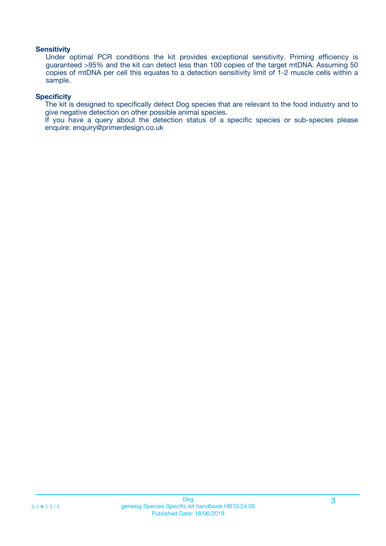### **Sensitivity**

Under optimal PCR conditions the kit provides exceptional sensitivity. Priming efficiency is guaranteed >95% and the kit can detect less than 100 copies of the target mtDNA. Assuming 50 copies of mtDNA per cell this equates to a detection sensitivity limit of 1-2 muscle cells within a sample.

### **Specificity**

The kit is designed to specifically detect Dog species that are relevant to the food industry and to give negative detection on other possible animal species.

If you have a query about the detection status of a specific species or sub-species please enquire: enquiry@primerdesign.co.uk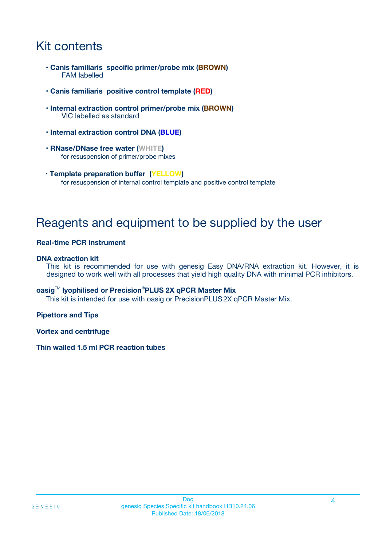# Kit contents

- **Canis familiaris specific primer/probe mix (BROWN)** FAM labelled
- **Canis familiaris positive control template (RED)**
- **Internal extraction control primer/probe mix (BROWN)** VIC labelled as standard
- **Internal extraction control DNA (BLUE)**
- **RNase/DNase free water (WHITE)** for resuspension of primer/probe mixes
- **Template preparation buffer (YELLOW)** for resuspension of internal control template and positive control template

# Reagents and equipment to be supplied by the user

### **Real-time PCR Instrument**

### **DNA extraction kit**

This kit is recommended for use with genesig Easy DNA/RNA extraction kit. However, it is designed to work well with all processes that yield high quality DNA with minimal PCR inhibitors.

### **oasig**TM **lyophilised or Precision**®**PLUS 2X qPCR Master Mix**

This kit is intended for use with oasig or PrecisionPLUS2X qPCR Master Mix.

### **Pipettors and Tips**

**Vortex and centrifuge**

### **Thin walled 1.5 ml PCR reaction tubes**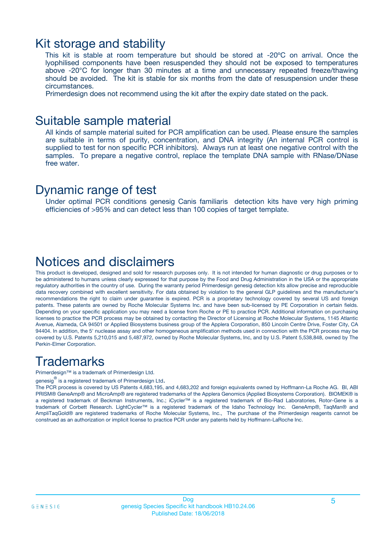### Kit storage and stability

This kit is stable at room temperature but should be stored at -20ºC on arrival. Once the lyophilised components have been resuspended they should not be exposed to temperatures above -20°C for longer than 30 minutes at a time and unnecessary repeated freeze/thawing should be avoided. The kit is stable for six months from the date of resuspension under these circumstances.

Primerdesign does not recommend using the kit after the expiry date stated on the pack.

### Suitable sample material

All kinds of sample material suited for PCR amplification can be used. Please ensure the samples are suitable in terms of purity, concentration, and DNA integrity (An internal PCR control is supplied to test for non specific PCR inhibitors). Always run at least one negative control with the samples. To prepare a negative control, replace the template DNA sample with RNase/DNase free water.

### Dynamic range of test

Under optimal PCR conditions genesig Canis familiaris detection kits have very high priming efficiencies of >95% and can detect less than 100 copies of target template.

## Notices and disclaimers

This product is developed, designed and sold for research purposes only. It is not intended for human diagnostic or drug purposes or to be administered to humans unless clearly expressed for that purpose by the Food and Drug Administration in the USA or the appropriate regulatory authorities in the country of use. During the warranty period Primerdesign genesig detection kits allow precise and reproducible data recovery combined with excellent sensitivity. For data obtained by violation to the general GLP guidelines and the manufacturer's recommendations the right to claim under guarantee is expired. PCR is a proprietary technology covered by several US and foreign patents. These patents are owned by Roche Molecular Systems Inc. and have been sub-licensed by PE Corporation in certain fields. Depending on your specific application you may need a license from Roche or PE to practice PCR. Additional information on purchasing licenses to practice the PCR process may be obtained by contacting the Director of Licensing at Roche Molecular Systems, 1145 Atlantic Avenue, Alameda, CA 94501 or Applied Biosystems business group of the Applera Corporation, 850 Lincoln Centre Drive, Foster City, CA 94404. In addition, the 5' nuclease assay and other homogeneous amplification methods used in connection with the PCR process may be covered by U.S. Patents 5,210,015 and 5,487,972, owned by Roche Molecular Systems, Inc, and by U.S. Patent 5,538,848, owned by The Perkin-Elmer Corporation.

# **Trademarks**

Primerdesign™ is a trademark of Primerdesign Ltd.

genesig $^\circledR$  is a registered trademark of Primerdesign Ltd.

The PCR process is covered by US Patents 4,683,195, and 4,683,202 and foreign equivalents owned by Hoffmann-La Roche AG. BI, ABI PRISM® GeneAmp® and MicroAmp® are registered trademarks of the Applera Genomics (Applied Biosystems Corporation). BIOMEK® is a registered trademark of Beckman Instruments, Inc.; iCycler™ is a registered trademark of Bio-Rad Laboratories, Rotor-Gene is a trademark of Corbett Research. LightCycler™ is a registered trademark of the Idaho Technology Inc. GeneAmp®, TaqMan® and AmpliTaqGold® are registered trademarks of Roche Molecular Systems, Inc., The purchase of the Primerdesign reagents cannot be construed as an authorization or implicit license to practice PCR under any patents held by Hoffmann-LaRoche Inc.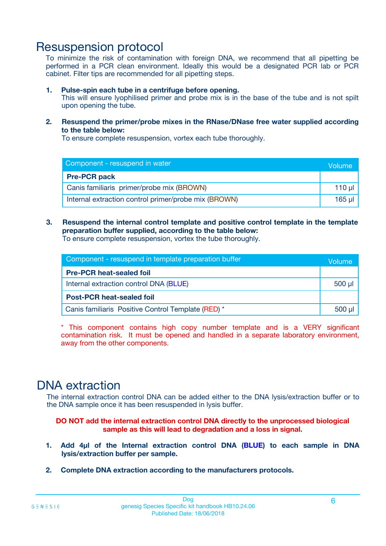# Resuspension protocol

To minimize the risk of contamination with foreign DNA, we recommend that all pipetting be performed in a PCR clean environment. Ideally this would be a designated PCR lab or PCR cabinet. Filter tips are recommended for all pipetting steps.

### **1. Pulse-spin each tube in a centrifuge before opening.**

This will ensure lyophilised primer and probe mix is in the base of the tube and is not spilt upon opening the tube.

**2. Resuspend the primer/probe mixes in the RNase/DNase free water supplied according to the table below:**

To ensure complete resuspension, vortex each tube thoroughly.

| Component - resuspend in water                       |        |  |  |
|------------------------------------------------------|--------|--|--|
| <b>Pre-PCR pack</b>                                  |        |  |  |
| Canis familiaris primer/probe mix (BROWN)            |        |  |  |
| Internal extraction control primer/probe mix (BROWN) | 165 ul |  |  |

### **3. Resuspend the internal control template and positive control template in the template preparation buffer supplied, according to the table below:**

To ensure complete resuspension, vortex the tube thoroughly.

| Component - resuspend in template preparation buffer |             |  |
|------------------------------------------------------|-------------|--|
| <b>Pre-PCR heat-sealed foil</b>                      |             |  |
| Internal extraction control DNA (BLUE)               | $500$ $\mu$ |  |
| <b>Post-PCR heat-sealed foil</b>                     |             |  |
| Canis familiaris Positive Control Template (RED) *   |             |  |

\* This component contains high copy number template and is a VERY significant contamination risk. It must be opened and handled in a separate laboratory environment, away from the other components.

# DNA extraction

The internal extraction control DNA can be added either to the DNA lysis/extraction buffer or to the DNA sample once it has been resuspended in lysis buffer.

**DO NOT add the internal extraction control DNA directly to the unprocessed biological sample as this will lead to degradation and a loss in signal.**

- **1. Add 4µl of the Internal extraction control DNA (BLUE) to each sample in DNA lysis/extraction buffer per sample.**
- **2. Complete DNA extraction according to the manufacturers protocols.**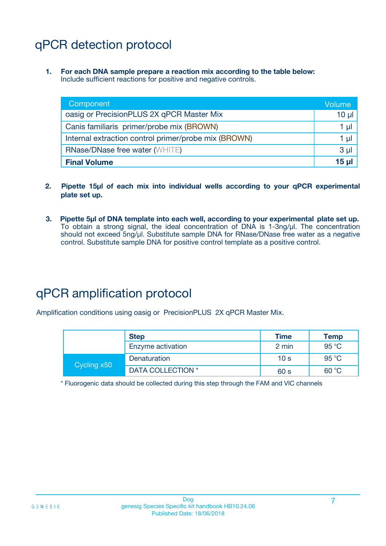# qPCR detection protocol

**1. For each DNA sample prepare a reaction mix according to the table below:** Include sufficient reactions for positive and negative controls.

| Component                                            | Volume         |
|------------------------------------------------------|----------------|
| oasig or PrecisionPLUS 2X qPCR Master Mix            | $10 \mu$       |
| Canis familiaris primer/probe mix (BROWN)            | 1 µl           |
| Internal extraction control primer/probe mix (BROWN) | 1 µl           |
| <b>RNase/DNase free water (WHITE)</b>                | 3 <sub>µ</sub> |
| <b>Final Volume</b>                                  | <b>15 ul</b>   |

- **2. Pipette 15µl of each mix into individual wells according to your qPCR experimental plate set up.**
- **3. Pipette 5µl of DNA template into each well, according to your experimental plate set up.** To obtain a strong signal, the ideal concentration of DNA is 1-3ng/µl. The concentration should not exceed 5ng/µl. Substitute sample DNA for RNase/DNase free water as a negative control. Substitute sample DNA for positive control template as a positive control.

# qPCR amplification protocol

Amplification conditions using oasig or PrecisionPLUS 2X qPCR Master Mix.

|             | <b>Step</b>       | <b>Time</b>     | Temp           |
|-------------|-------------------|-----------------|----------------|
|             | Enzyme activation | 2 min           | 95 °C          |
| Cycling x50 | Denaturation      | 10 <sub>s</sub> | 95 $\degree$ C |
|             | DATA COLLECTION * | 60 s            | 60 °C          |

\* Fluorogenic data should be collected during this step through the FAM and VIC channels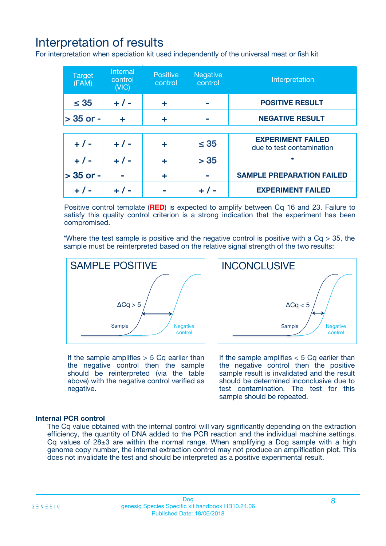# Interpretation of results

For interpretation when speciation kit used independently of the universal meat or fish kit

| <b>Target</b><br>(FAM) | <b>Internal</b><br>control<br>(VIC) | <b>Positive</b><br>control | <b>Negative</b><br>control | Interpretation                                        |
|------------------------|-------------------------------------|----------------------------|----------------------------|-------------------------------------------------------|
| $\leq 35$              | $+ 1 -$                             | ÷                          |                            | <b>POSITIVE RESULT</b>                                |
| $> 35$ or -            | ÷                                   | ÷                          |                            | <b>NEGATIVE RESULT</b>                                |
|                        |                                     |                            |                            |                                                       |
| $+ 1 -$                | $+ 1 -$                             | ÷                          | $\leq 35$                  | <b>EXPERIMENT FAILED</b><br>due to test contamination |
| $+ 1 -$                | $+ 1 -$                             | ٠                          | > 35                       | $\star$                                               |
| $> 35$ or -            |                                     | ÷                          |                            | <b>SAMPLE PREPARATION FAILED</b>                      |
|                        |                                     |                            |                            | <b>EXPERIMENT FAILED</b>                              |

Positive control template (**RED**) is expected to amplify between Cq 16 and 23. Failure to satisfy this quality control criterion is a strong indication that the experiment has been compromised.

\*Where the test sample is positive and the negative control is positive with a  $Ca > 35$ , the sample must be reinterpreted based on the relative signal strength of the two results:



If the sample amplifies  $> 5$  Cq earlier than the negative control then the sample should be reinterpreted (via the table above) with the negative control verified as negative.

Sample  $/$  / Negative control  $\Delta$ Ca < 5 **INCONCLUSIVE** 

If the sample amplifies  $< 5$  Cq earlier than the negative control then the positive sample result is invalidated and the result should be determined inconclusive due to test contamination. The test for this sample should be repeated.

### **Internal PCR control**

The Cq value obtained with the internal control will vary significantly depending on the extraction efficiency, the quantity of DNA added to the PCR reaction and the individual machine settings. Cq values of  $28\pm3$  are within the normal range. When amplifying a Dog sample with a high genome copy number, the internal extraction control may not produce an amplification plot. This does not invalidate the test and should be interpreted as a positive experimental result.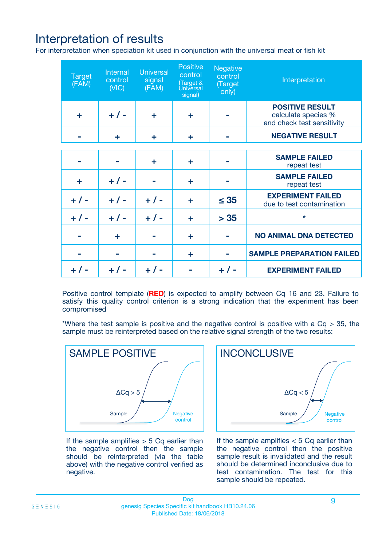# Interpretation of results

For interpretation when speciation kit used in conjunction with the universal meat or fish kit

| <b>Target</b><br>(FAM) | Internal<br>control<br>(NIC) | <b>Universal</b><br>signal<br>(FAM) | Positive<br>control<br>(Target &<br><b>Universal</b><br>signal) | <b>Negative</b><br>control<br>(Target<br>only) | Interpretation                                                              |
|------------------------|------------------------------|-------------------------------------|-----------------------------------------------------------------|------------------------------------------------|-----------------------------------------------------------------------------|
| ÷                      | $+$ / -                      | ÷                                   | ÷                                                               |                                                | <b>POSITIVE RESULT</b><br>calculate species %<br>and check test sensitivity |
|                        | ÷                            | ÷                                   | ÷                                                               |                                                | <b>NEGATIVE RESULT</b>                                                      |
|                        |                              |                                     |                                                                 |                                                |                                                                             |
|                        |                              | ÷                                   | ÷                                                               |                                                | <b>SAMPLE FAILED</b><br>repeat test                                         |
| ÷                      | $+ 1 -$                      |                                     | ÷                                                               |                                                | <b>SAMPLE FAILED</b><br>repeat test                                         |
| $+/-$                  | $+/-$                        | $+ 1 -$                             | ÷                                                               | $\leq 35$                                      | <b>EXPERIMENT FAILED</b><br>due to test contamination                       |
| $+ 1 -$                | $+/-$                        | $+/-$                               | ÷                                                               | > 35                                           | $\star$                                                                     |
|                        | ÷                            |                                     | ÷                                                               |                                                | <b>NO ANIMAL DNA DETECTED</b>                                               |
|                        |                              |                                     | ÷                                                               |                                                | <b>SAMPLE PREPARATION FAILED</b>                                            |
| $+  / -$               | $+ 1 -$                      |                                     |                                                                 |                                                | <b>EXPERIMENT FAILED</b>                                                    |

Positive control template (**RED**) is expected to amplify between Cq 16 and 23. Failure to satisfy this quality control criterion is a strong indication that the experiment has been compromised

\*Where the test sample is positive and the negative control is positive with a  $Cq > 35$ , the sample must be reinterpreted based on the relative signal strength of the two results:



If the sample amplifies  $> 5$  Cq earlier than the negative control then the sample should be reinterpreted (via the table above) with the negative control verified as negative.



If the sample amplifies  $< 5$  Cq earlier than the negative control then the positive sample result is invalidated and the result should be determined inconclusive due to test contamination. The test for this sample should be repeated.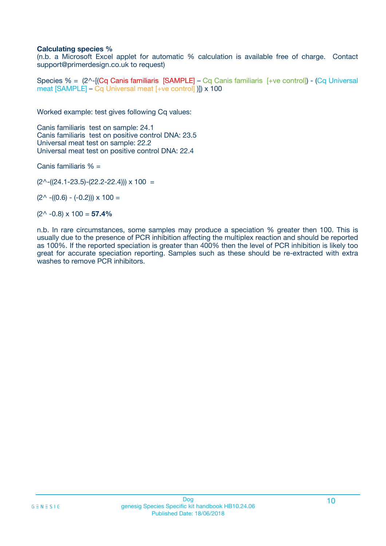### **Calculating species %**

(n.b. a Microsoft Excel applet for automatic % calculation is available free of charge. Contact support@primerdesign.co.uk to request)

Species % = (2^-[(Cq Canis familiaris [SAMPLE] – Cq Canis familiaris [+ve control]) - (Cq Universal meat [SAMPLE] – Cq Universal meat [+ve control] )]) x 100

Worked example: test gives following Cq values:

Canis familiaris test on sample: 24.1 Canis familiaris test on positive control DNA: 23.5 Universal meat test on sample: 22.2 Universal meat test on positive control DNA: 22.4

Canis familiaris % =

 $(2^{\wedge}-(24.1-23.5)-(22.2-22.4))) \times 100 =$ 

 $(2^{\wedge}$  -((0.6) - (-0.2)))  $\times$  100 =

(2^ -0.8) x 100 = **57.4%**

n.b. In rare circumstances, some samples may produce a speciation % greater then 100. This is usually due to the presence of PCR inhibition affecting the multiplex reaction and should be reported as 100%. If the reported speciation is greater than 400% then the level of PCR inhibition is likely too great for accurate speciation reporting. Samples such as these should be re-extracted with extra washes to remove PCR inhibitors.